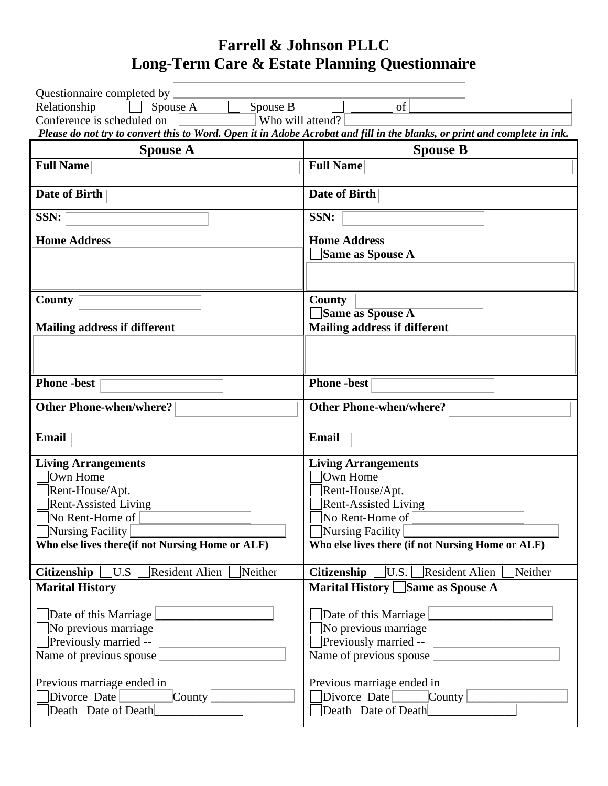# **Farrell & Johnson PLLC Long-Term Care & Estate Planning Questionnaire**

| Questionnaire completed by                                           |                                                                                                                           |  |
|----------------------------------------------------------------------|---------------------------------------------------------------------------------------------------------------------------|--|
| Relationship<br>Spouse B<br>Spouse A                                 | of                                                                                                                        |  |
| Conference is scheduled on<br>Who will attend?                       |                                                                                                                           |  |
|                                                                      | Please do not try to convert this to Word. Open it in Adobe Acrobat and fill in the blanks, or print and complete in ink. |  |
| <b>Spouse A</b>                                                      | <b>Spouse B</b>                                                                                                           |  |
| <b>Full Name</b>                                                     | <b>Full Name</b>                                                                                                          |  |
|                                                                      |                                                                                                                           |  |
| <b>Date of Birth</b>                                                 | <b>Date of Birth</b>                                                                                                      |  |
| SSN:                                                                 | SSN:                                                                                                                      |  |
| <b>Home Address</b>                                                  | <b>Home Address</b>                                                                                                       |  |
|                                                                      | Same as Spouse A                                                                                                          |  |
|                                                                      |                                                                                                                           |  |
|                                                                      |                                                                                                                           |  |
| County                                                               | County                                                                                                                    |  |
|                                                                      | Same as Spouse A                                                                                                          |  |
| <b>Mailing address if different</b>                                  | <b>Mailing address if different</b>                                                                                       |  |
|                                                                      |                                                                                                                           |  |
|                                                                      |                                                                                                                           |  |
| <b>Phone</b> -best                                                   | <b>Phone</b> -best                                                                                                        |  |
|                                                                      |                                                                                                                           |  |
| <b>Other Phone-when/where?</b>                                       | <b>Other Phone-when/where?</b>                                                                                            |  |
|                                                                      |                                                                                                                           |  |
| <b>Email</b>                                                         | <b>Email</b>                                                                                                              |  |
| <b>Living Arrangements</b>                                           | <b>Living Arrangements</b>                                                                                                |  |
| Own Home                                                             | Own Home                                                                                                                  |  |
| Rent-House/Apt.                                                      | Rent-House/Apt.                                                                                                           |  |
| <b>Rent-Assisted Living</b>                                          | <b>Rent-Assisted Living</b>                                                                                               |  |
| No Rent-Home of                                                      | No Rent-Home of                                                                                                           |  |
| Nursing Facility<br>Who else lives there(if not Nursing Home or ALF) | Nursing Facility                                                                                                          |  |
|                                                                      | Who else lives there (if not Nursing Home or ALF)                                                                         |  |
| $\exists$ U.S<br><b>Citizenship</b><br>Resident Alien<br>Neither     | U.S.<br><b>Citizenship</b><br><b>Resident Alien</b><br>Neither                                                            |  |
| <b>Marital History</b>                                               | Marital History Same as Spouse A                                                                                          |  |
|                                                                      |                                                                                                                           |  |
| Date of this Marriage                                                | Date of this Marriage                                                                                                     |  |
| $\Box$ No previous marriage                                          | No previous marriage                                                                                                      |  |
| <b>Previously married --</b>                                         | Previously married --                                                                                                     |  |
| Name of previous spouse                                              | Name of previous spouse                                                                                                   |  |
| Previous marriage ended in                                           | Previous marriage ended in                                                                                                |  |
| Divorce Date<br>$\lfloor$ County $\lfloor$                           | Divorce Date<br>$\sqrt{\text{C}$ County                                                                                   |  |
| Death Date of Death                                                  | Death Date of Death                                                                                                       |  |
|                                                                      |                                                                                                                           |  |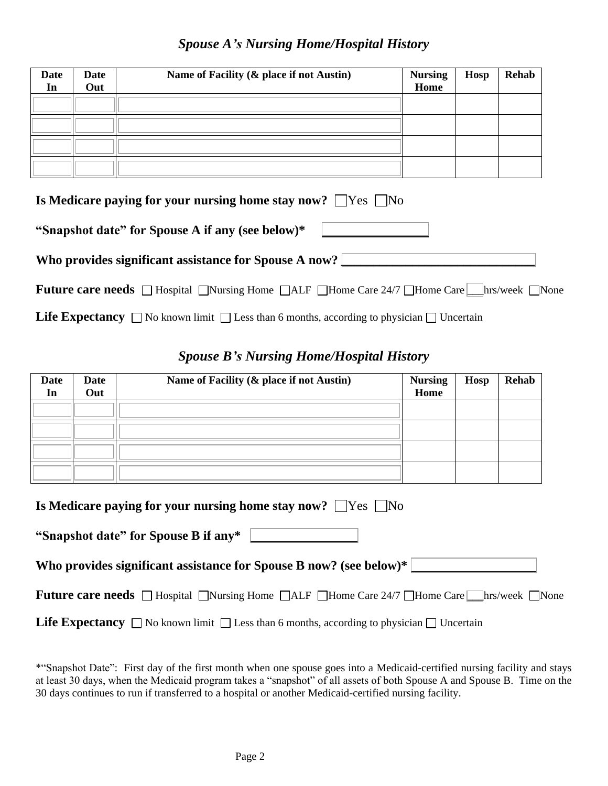#### *Spouse A's Nursing Home/Hospital History*

| <b>Date</b><br>In                                                       | <b>Date</b><br>Out | Name of Facility (& place if not Austin) | <b>Nursing</b><br>Home | <b>Hosp</b> | <b>Rehab</b> |
|-------------------------------------------------------------------------|--------------------|------------------------------------------|------------------------|-------------|--------------|
|                                                                         |                    |                                          |                        |             |              |
|                                                                         |                    |                                          |                        |             |              |
|                                                                         |                    |                                          |                        |             |              |
|                                                                         |                    |                                          |                        |             |              |
| Is Medicare paying for your nursing home stay now? $\Box$ Yes $\Box$ No |                    |                                          |                        |             |              |

| "Snapshot date" for Spouse A if any (see below)* |  |  |  |  |  |
|--------------------------------------------------|--|--|--|--|--|
|--------------------------------------------------|--|--|--|--|--|

| Who provides significant assistance for Spouse A now? |  |
|-------------------------------------------------------|--|

| <b>Future care needs</b> $\Box$ Hospital $\Box$ Nursing Home $\Box$ ALF $\Box$ Home Care $\Box$ Alome Care $\Box$ hrs/week $\Box$ None |  |
|----------------------------------------------------------------------------------------------------------------------------------------|--|
|----------------------------------------------------------------------------------------------------------------------------------------|--|

**Life Expectancy**  $\Box$  No known limit  $\Box$  Less than 6 months, according to physician  $\Box$  Uncertain

## *Spouse B's Nursing Home/Hospital History*

| <b>Date</b><br>In                                                       | Date<br>Out | Name of Facility (& place if not Austin) | <b>Nursing</b><br>Home | <b>Hosp</b> | Rehab |
|-------------------------------------------------------------------------|-------------|------------------------------------------|------------------------|-------------|-------|
|                                                                         |             |                                          |                        |             |       |
|                                                                         |             |                                          |                        |             |       |
|                                                                         |             |                                          |                        |             |       |
|                                                                         |             |                                          |                        |             |       |
| Is Medicare paying for your nursing home stay now? $\Box$ Yes $\Box$ No |             |                                          |                        |             |       |

| "Snapshot date" for Spouse B if any*                                                                    |
|---------------------------------------------------------------------------------------------------------|
| Who provides significant assistance for Spouse B now? (see below)*                                      |
| <b>Future care needs</b> □ Hospital □ Nursing Home □ ALF □ Home Care 24/7 □ Home Care ■ hrs/week □ None |
|                                                                                                         |

**Life Expectancy**  $\Box$  No known limit  $\Box$  Less than 6 months, according to physician  $\Box$  Uncertain

<sup>\*&</sup>quot;Snapshot Date": First day of the first month when one spouse goes into a Medicaid-certified nursing facility and stays at least 30 days, when the Medicaid program takes a "snapshot" of all assets of both Spouse A and Spouse B. Time on the 30 days continues to run if transferred to a hospital or another Medicaid-certified nursing facility.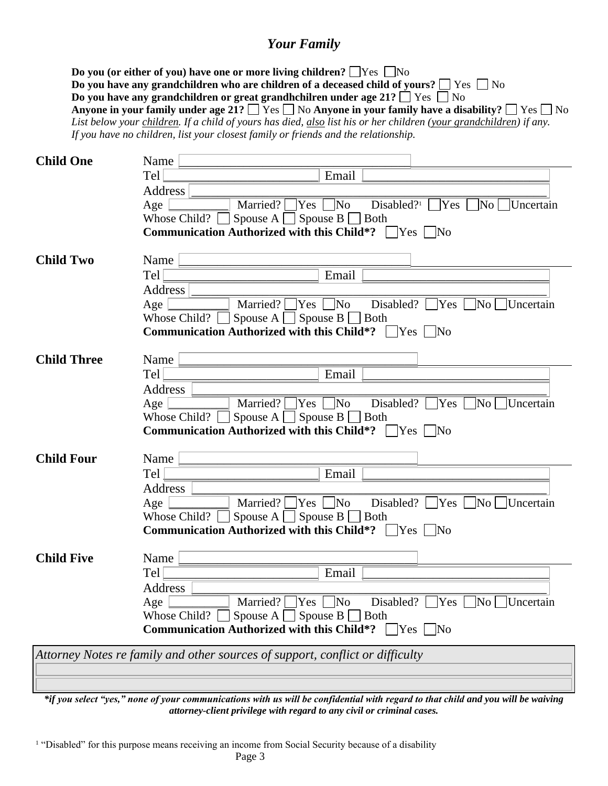#### *Your Family*

**Do you (or either of you) have one or more living children?**  $\Box$  Yes  $\Box$  No **Do you have any grandchildren who are children of a deceased child of yours?**  $\Box$  Yes  $\Box$  No **Do you have any grandchildren or great grandhchilren under age 21?**  $\Box$  Yes  $\Box$  No **Anyone in your family under age 21?**  $\Box$  Yes  $\Box$  No **Anyone in your family have a disability?**  $\Box$  Yes  $\Box$  No *List below your children. If a child of yours has died, also list his or her children (your grandchildren) if any. If you have no children, list your closest family or friends and the relationship.*

| <b>Child One</b>   | Name                                                                                                         |
|--------------------|--------------------------------------------------------------------------------------------------------------|
|                    | Tel<br>Email                                                                                                 |
|                    | Address                                                                                                      |
|                    | Married? $\Box$ Yes $\Box$ No<br>Disabled? <sup>1</sup> $\Box$ Yes<br>$\n  No$ $\Box$ Uncertain<br>Age       |
|                    | Spouse $A \Box$ Spouse $B \Box$ Both<br>Whose Child? $\lceil$                                                |
|                    | Communication Authorized with this Child*? □ Yes □ No                                                        |
| <b>Child Two</b>   | Name                                                                                                         |
|                    | Tel<br>Email                                                                                                 |
|                    | Address                                                                                                      |
|                    | Married? $\Box$ Yes $\Box$ No<br>Disabled? $\Box$ Yes $\Box$ No<br>Age<br>□Uncertain                         |
|                    | Spouse A $\Box$ Spouse B $\Box$ Both<br>Whose Child? [                                                       |
|                    | <b>Communication Authorized with this Child*?</b> $\Box$ Yes $\Box$ No                                       |
|                    |                                                                                                              |
| <b>Child Three</b> | Name                                                                                                         |
|                    | Email<br>Tel                                                                                                 |
|                    | Address<br>Married? $\Box$ Yes $\Box$ No<br>Disabled? $\Box$ Yes $\Box$<br>$\mathbb{N}^{\text{o}}$ Uncertain |
|                    | Age<br>Whose Child? $\Box$ Spouse A $\Box$ Spouse B $\Box$ Both                                              |
|                    | <b>Communication Authorized with this Child*?</b> $\Box$ Yes $\Box$ No                                       |
|                    |                                                                                                              |
| <b>Child Four</b>  | Name                                                                                                         |
|                    | Tel<br>Email                                                                                                 |
|                    | Address                                                                                                      |
|                    | Married? $\Box$ Yes $\parallel$ No<br>Disabled? $\Box$ Yes $\Box$ No $\Box$ Uncertain<br>Age                 |
|                    | Spouse A $\Box$ Spouse B $\Box$ Both<br>Whose Child? $\ $                                                    |
|                    | <b>Communication Authorized with this Child*?</b> $\Box$ Yes $\Box$ No                                       |
| <b>Child Five</b>  | Name                                                                                                         |
|                    | Tel<br>Email                                                                                                 |
|                    | <b>Address</b>                                                                                               |
|                    | Married? $\Box$ Yes $\Box$ No<br>Disabled? $\Box$ Yes $\Box$ No $\Box$ Uncertain<br>Age                      |
|                    | Spouse A $\Box$ Spouse B $\Box$ Both<br>Whose Child? $\blacksquare$                                          |
|                    | <b>Communication Authorized with this Child*?</b> $\Box$ Yes $\Box$ No                                       |
|                    | Attorney Notes re family and other sources of support, conflict or difficulty                                |
|                    |                                                                                                              |
|                    |                                                                                                              |

*\*if you select "yes," none of your communications with us will be confidential with regard to that child and you will be waiving attorney-client privilege with regard to any civil or criminal cases.*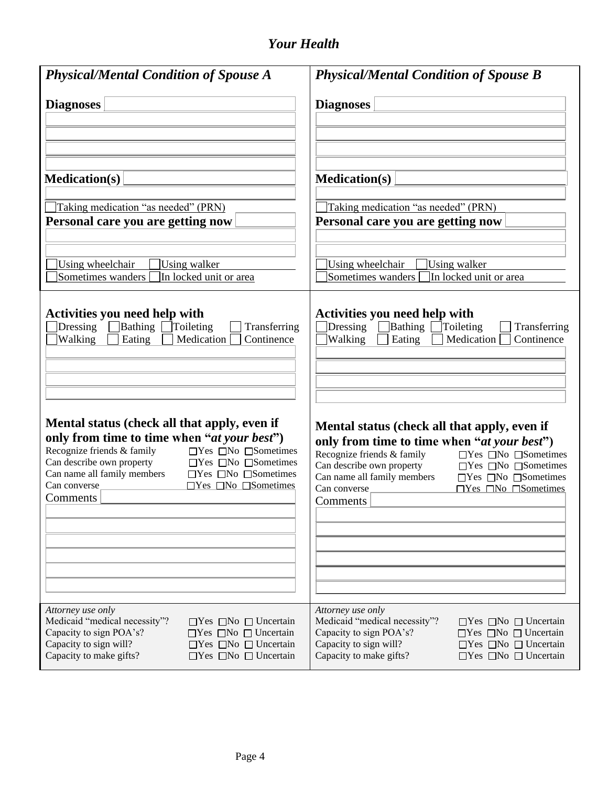## *Your Health*

| <b>Physical/Mental Condition of Spouse A</b>                                                                                         | <b>Physical/Mental Condition of Spouse B</b>                                                                                                  |
|--------------------------------------------------------------------------------------------------------------------------------------|-----------------------------------------------------------------------------------------------------------------------------------------------|
| <b>Diagnoses</b>                                                                                                                     | <b>Diagnoses</b>                                                                                                                              |
| <b>Medication(s)</b>                                                                                                                 | <b>Medication(s)</b>                                                                                                                          |
| Taking medication "as needed" (PRN)                                                                                                  | Taking medication "as needed" (PRN)                                                                                                           |
| Personal care you are getting now                                                                                                    | Personal care you are getting now                                                                                                             |
| Using wheelchair                                                                                                                     | Using wheelchair                                                                                                                              |
| Using walker                                                                                                                         | Using walker                                                                                                                                  |
| Sometimes wanders                                                                                                                    | Sometimes wanders                                                                                                                             |
| In locked unit or area                                                                                                               | In locked unit or area                                                                                                                        |
| Activities you need help with<br>Bathing<br>Dressing<br>Toileting<br>Transferring<br>Continence<br>Walking<br>Eating<br>Medication [ | <b>Activities you need help with</b><br><b>Bathing Toileting</b><br>Dressing<br>Transferring<br>Walking<br>Eating<br>Medication<br>Continence |
| Mental status (check all that apply, even if                                                                                         | Mental status (check all that apply, even if                                                                                                  |
| only from time to time when "at your best")                                                                                          | only from time to time when "at your best")                                                                                                   |
| Recognize friends & family                                                                                                           | Recognize friends & family                                                                                                                    |
| $\Box$ Yes $\Box$ No $\Box$ Sometimes                                                                                                | $\Box$ Yes $\Box$ No $\Box$ Sometimes                                                                                                         |
| Can describe own property                                                                                                            | Can describe own property                                                                                                                     |
| $\Box$ Yes $\Box$ No $\Box$ Sometimes                                                                                                | $\Box$ Yes $\Box$ No $\Box$ Sometimes                                                                                                         |
| Can name all family members                                                                                                          | Can name all family members                                                                                                                   |
| $\square$ Yes $\square$ No $\square$ Sometimes                                                                                       | $\square$ Yes $\square$ No $\square$ Sometimes                                                                                                |
| Can converse                                                                                                                         | $\Box$ Yes $\Box$ No $\Box$ Sometimes                                                                                                         |
| $\Box$ Yes $\Box$ No $\Box$ Sometimes                                                                                                | Can converse                                                                                                                                  |
| Comments                                                                                                                             | Comments                                                                                                                                      |
| Attorney use only                                                                                                                    | Attorney use only                                                                                                                             |
| Medicaid "medical necessity"?                                                                                                        | Medicaid "medical necessity"?                                                                                                                 |
| $\Box$ Yes $\Box$ No $\Box$ Uncertain                                                                                                | $\Box$ Yes $\Box$ No $\Box$ Uncertain                                                                                                         |
| Capacity to sign POA's?                                                                                                              | Capacity to sign POA's?                                                                                                                       |
| $\Box$ Yes $\Box$ No $\Box$ Uncertain                                                                                                | $\Box$ Yes $\Box$ No $\Box$ Uncertain                                                                                                         |
| Capacity to sign will?                                                                                                               | Capacity to sign will?                                                                                                                        |
| $\Box$ Yes $\Box$ No $\Box$ Uncertain                                                                                                | $\Box$ Yes $\Box$ No $\Box$ Uncertain                                                                                                         |
| Capacity to make gifts?                                                                                                              | Capacity to make gifts?                                                                                                                       |
| $\Box$ Yes $\Box$ No $\Box$ Uncertain                                                                                                | $\Box$ Yes $\Box$ No $\Box$ Uncertain                                                                                                         |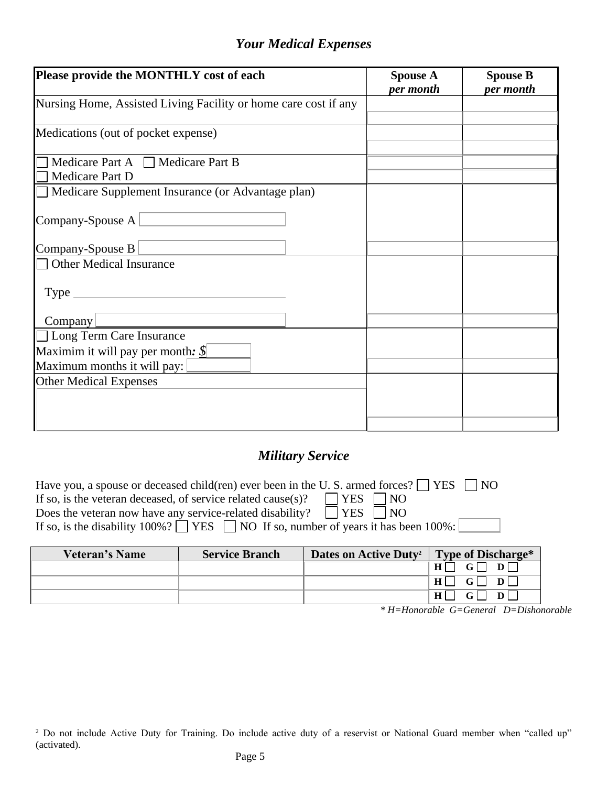### *Your Medical Expenses*

| Please provide the MONTHLY cost of each                         | <b>Spouse A</b><br>per month | <b>Spouse B</b><br>per month |
|-----------------------------------------------------------------|------------------------------|------------------------------|
| Nursing Home, Assisted Living Facility or home care cost if any |                              |                              |
| Medications (out of pocket expense)                             |                              |                              |
| Medicare Part A $\Box$ Medicare Part B<br>Medicare Part D       |                              |                              |
| Medicare Supplement Insurance (or Advantage plan)               |                              |                              |
| Company-Spouse $A$                                              |                              |                              |
| Company-Spouse B                                                |                              |                              |
| Other Medical Insurance                                         |                              |                              |
| $Type_$                                                         |                              |                              |
| Company                                                         |                              |                              |
| □ Long Term Care Insurance                                      |                              |                              |
| Maximim it will pay per month: $\S$                             |                              |                              |
| Maximum months it will pay:                                     |                              |                              |
| <b>Other Medical Expenses</b>                                   |                              |                              |
|                                                                 |                              |                              |
|                                                                 |                              |                              |

## *Military Service*

| Have you, a spouse or deceased child(ren) ever been in the U.S. armed forces? $\Box$ YES<br>$\Box$ NO |  |  |  |
|-------------------------------------------------------------------------------------------------------|--|--|--|
| $\Box$ YES $\Box$ NO<br>If so, is the veteran deceased, of service related cause(s)?                  |  |  |  |
| Does the veteran now have any service-related disability? $\Box$ YES $\Box$ NO                        |  |  |  |
| If so, is the disability $100\%$ ? TES NO If so, number of years it has been $100\%$ :                |  |  |  |

| Veteran's Name | <b>Service Branch</b> | Dates on Active Duty <sup>2</sup> | Type of Discharge*                       |
|----------------|-----------------------|-----------------------------------|------------------------------------------|
|                |                       |                                   |                                          |
|                |                       |                                   | $H \Box$<br>$\mathbf{G}$<br>$\mathbf{D}$ |
|                |                       |                                   | D <sub>1</sub><br>HI                     |

*\* H=Honorable G=General D=Dishonorable*

<sup>&</sup>lt;sup>2</sup> Do not include Active Duty for Training. Do include active duty of a reservist or National Guard member when "called up" (activated).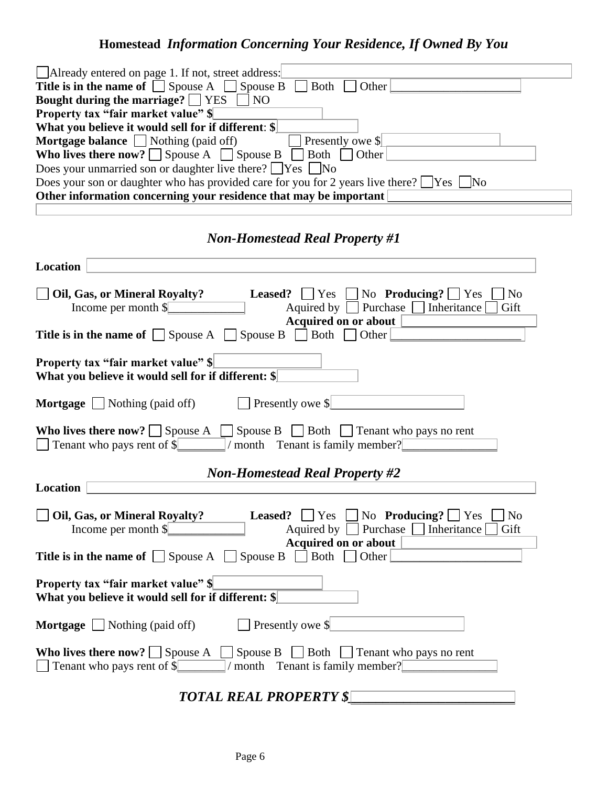# **Homestead** *Information Concerning Your Residence, If Owned By You*

| Already entered on page 1. If not, street address:<br>$\Box$ Both                                                                                                                                     |
|-------------------------------------------------------------------------------------------------------------------------------------------------------------------------------------------------------|
| Title is in the name of $\Box$ Spouse A $\Box$ Spouse B<br>Other                                                                                                                                      |
| Bought during the marriage? $\Box$ YES $\Box$ NO                                                                                                                                                      |
| <b>Property tax "fair market value"</b> \$                                                                                                                                                            |
| What you believe it would sell for if different: \$                                                                                                                                                   |
| Mortgage balance $\Box$ Nothing (paid off)<br>$\Box$ Presently owe \$                                                                                                                                 |
| Who lives there now? $\Box$ Spouse A $\Box$ Spouse B $\Box$ Both $\Box$ Other                                                                                                                         |
| Does your unmarried son or daughter live there? $\Box$ Yes $\Box$ No                                                                                                                                  |
| Does your son or daughter who has provided care for you for 2 years live there? $\Box$ Yes $\Box$ No                                                                                                  |
| Other information concerning your residence that may be important                                                                                                                                     |
|                                                                                                                                                                                                       |
| <b>Non-Homestead Real Property #1</b>                                                                                                                                                                 |
| Location                                                                                                                                                                                              |
| Oil, Gas, or Mineral Royalty?<br>$\Box$ No                                                                                                                                                            |
| <b>Leased?</b> $\Box$ Yes $\Box$ No <b>Producing?</b> $\Box$ Yes<br>Aquired by □ Purchase □ Inheritance □                                                                                             |
| Income per month \$<br>Gift                                                                                                                                                                           |
| Acquired on or about                                                                                                                                                                                  |
| <b>Title is in the name of Spouse A Spouse B Both Dother</b>                                                                                                                                          |
| <b>Property tax "fair market value" \$</b><br>What you believe it would sell for if different: \$                                                                                                     |
|                                                                                                                                                                                                       |
| $\Box$ Presently owe \$<br><b>Mortgage</b> $\Box$ Nothing (paid off)                                                                                                                                  |
| <b>Who lives there now?</b> Spouse A Spouse B Both Tenant who pays no rent<br>$\Box$ Tenant who pays rent of \$ $\Box$ / month Tenant is family member?                                               |
| <b>Non-Homestead Real Property #2</b>                                                                                                                                                                 |
| Location                                                                                                                                                                                              |
|                                                                                                                                                                                                       |
| <b>Leased?</b> $\Box$ Yes $\Box$ No <b>Producing?</b> $\Box$ Yes $\Box$ No<br>Oil, Gas, or Mineral Royalty?<br>Aquired by $\Box$ Purchase $\Box$ Inheritance $\Box$<br>Income per month $\ \$<br>Gift |
| <b>Acquired on or about</b>                                                                                                                                                                           |
| <b>Title is in the name of <math>\Box</math></b> Spouse A $\Box$ Spouse B $\Box$ Both $\Box$ Other                                                                                                    |
| <b>Property tax "fair market value"</b> \,<br>What you believe it would sell for if different: \$                                                                                                     |
| $\Box$ Presently owe \$<br><b>Mortgage</b> $\Box$ Nothing (paid off)                                                                                                                                  |
| <b>Who lives there now?</b> Spouse A Spouse B Both Tenant who pays no rent<br>$\Box$ Tenant who pays rent of $\sqrt{$\vert \quad \vert}$ / month Tenant is family member?                             |

*TOTAL REAL PROPERTY \$\_\_\_\_\_\_\_\_\_\_\_\_\_\_\_\_\_\_\_\_\_\_\_\_*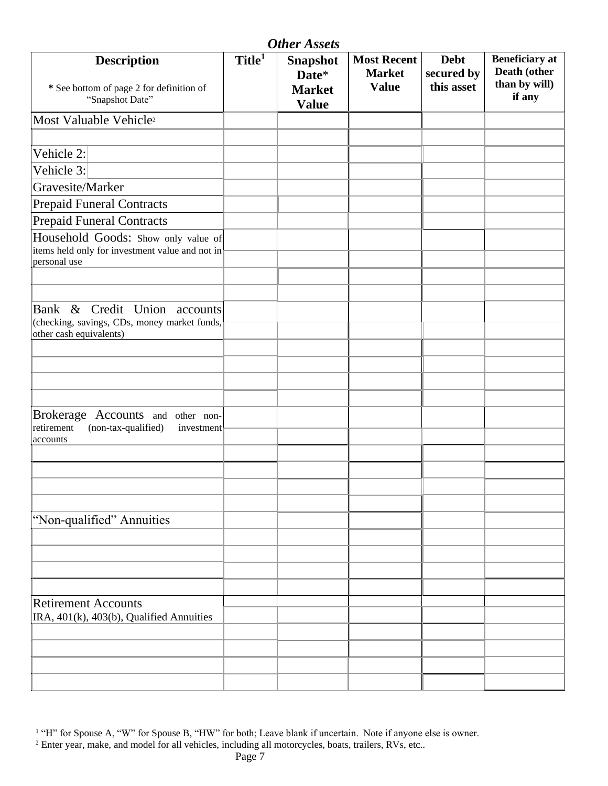|                                                                                                            |                    | <b>Other Assets</b>                                       |                                                     |                                         |                                                                  |
|------------------------------------------------------------------------------------------------------------|--------------------|-----------------------------------------------------------|-----------------------------------------------------|-----------------------------------------|------------------------------------------------------------------|
| <b>Description</b><br>* See bottom of page 2 for definition of<br>"Snapshot Date"                          | Title <sup>1</sup> | <b>Snapshot</b><br>Date*<br><b>Market</b><br><b>Value</b> | <b>Most Recent</b><br><b>Market</b><br><b>Value</b> | <b>Debt</b><br>secured by<br>this asset | <b>Beneficiary</b> at<br>Death (other<br>than by will)<br>if any |
| Most Valuable Vehicle <sup>2</sup>                                                                         |                    |                                                           |                                                     |                                         |                                                                  |
|                                                                                                            |                    |                                                           |                                                     |                                         |                                                                  |
| Vehicle 2:                                                                                                 |                    |                                                           |                                                     |                                         |                                                                  |
| Vehicle 3:                                                                                                 |                    |                                                           |                                                     |                                         |                                                                  |
| Gravesite/Marker                                                                                           |                    |                                                           |                                                     |                                         |                                                                  |
| <b>Prepaid Funeral Contracts</b>                                                                           |                    |                                                           |                                                     |                                         |                                                                  |
| <b>Prepaid Funeral Contracts</b>                                                                           |                    |                                                           |                                                     |                                         |                                                                  |
| Household Goods: Show only value of<br>items held only for investment value and not in<br>personal use     |                    |                                                           |                                                     |                                         |                                                                  |
|                                                                                                            |                    |                                                           |                                                     |                                         |                                                                  |
| Bank & Credit Union accounts<br>(checking, savings, CDs, money market funds,<br>other cash equivalents)    |                    |                                                           |                                                     |                                         |                                                                  |
|                                                                                                            |                    |                                                           |                                                     |                                         |                                                                  |
|                                                                                                            |                    |                                                           |                                                     |                                         |                                                                  |
|                                                                                                            |                    |                                                           |                                                     |                                         |                                                                  |
|                                                                                                            |                    |                                                           |                                                     |                                         |                                                                  |
| <b>Brokerage</b><br>Accounts and other non-<br>(non-tax-qualified)<br>retirement<br>investment<br>accounts |                    |                                                           |                                                     |                                         |                                                                  |
|                                                                                                            |                    |                                                           |                                                     |                                         |                                                                  |
|                                                                                                            |                    |                                                           |                                                     |                                         |                                                                  |
|                                                                                                            |                    |                                                           |                                                     |                                         |                                                                  |
|                                                                                                            |                    |                                                           |                                                     |                                         |                                                                  |
| "Non-qualified" Annuities                                                                                  |                    |                                                           |                                                     |                                         |                                                                  |
|                                                                                                            |                    |                                                           |                                                     |                                         |                                                                  |
|                                                                                                            |                    |                                                           |                                                     |                                         |                                                                  |
|                                                                                                            |                    |                                                           |                                                     |                                         |                                                                  |
|                                                                                                            |                    |                                                           |                                                     |                                         |                                                                  |
| <b>Retirement Accounts</b>                                                                                 |                    |                                                           |                                                     |                                         |                                                                  |
| IRA, 401(k), 403(b), Qualified Annuities                                                                   |                    |                                                           |                                                     |                                         |                                                                  |
|                                                                                                            |                    |                                                           |                                                     |                                         |                                                                  |
|                                                                                                            |                    |                                                           |                                                     |                                         |                                                                  |
|                                                                                                            |                    |                                                           |                                                     |                                         |                                                                  |
|                                                                                                            |                    |                                                           |                                                     |                                         |                                                                  |

<sup>1</sup> "H" for Spouse A, "W" for Spouse B, "HW" for both; Leave blank if uncertain. Note if anyone else is owner.

 $<sup>2</sup>$  Enter year, make, and model for all vehicles, including all motorcycles, boats, trailers, RVs, etc..</sup>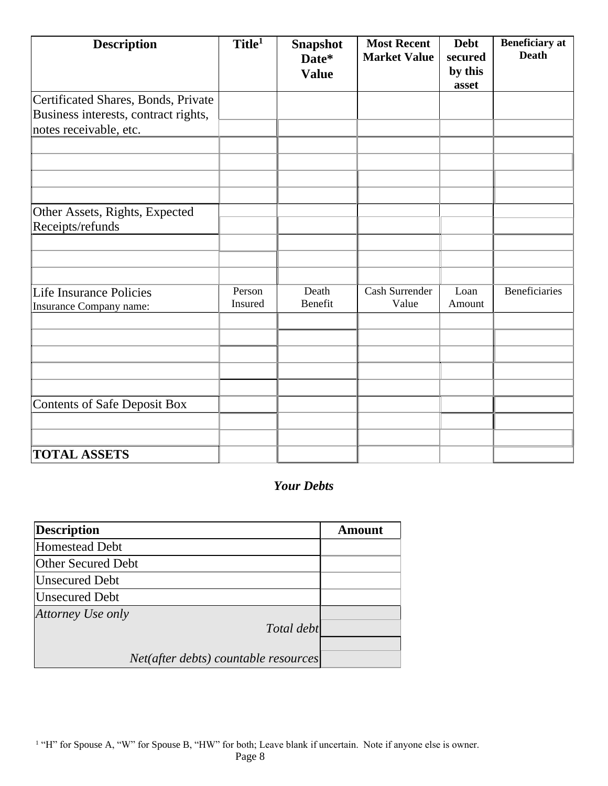| <b>Description</b>                                                          | Title <sup>1</sup> | <b>Snapshot</b><br>Date*<br><b>Value</b> | <b>Most Recent</b><br><b>Market Value</b> | <b>Debt</b><br>secured<br>by this<br>asset | <b>Beneficiary</b> at<br><b>Death</b> |
|-----------------------------------------------------------------------------|--------------------|------------------------------------------|-------------------------------------------|--------------------------------------------|---------------------------------------|
| Certificated Shares, Bonds, Private<br>Business interests, contract rights, |                    |                                          |                                           |                                            |                                       |
| notes receivable, etc.                                                      |                    |                                          |                                           |                                            |                                       |
|                                                                             |                    |                                          |                                           |                                            |                                       |
|                                                                             |                    |                                          |                                           |                                            |                                       |
|                                                                             |                    |                                          |                                           |                                            |                                       |
| Other Assets, Rights, Expected<br>Receipts/refunds                          |                    |                                          |                                           |                                            |                                       |
|                                                                             |                    |                                          |                                           |                                            |                                       |
|                                                                             |                    |                                          |                                           |                                            |                                       |
| Life Insurance Policies                                                     | Person             | Death                                    | Cash Surrender                            | Loan                                       | <b>Beneficiaries</b>                  |
| Insurance Company name:                                                     | Insured            | Benefit                                  | Value                                     | Amount                                     |                                       |
|                                                                             |                    |                                          |                                           |                                            |                                       |
|                                                                             |                    |                                          |                                           |                                            |                                       |
|                                                                             |                    |                                          |                                           |                                            |                                       |
|                                                                             |                    |                                          |                                           |                                            |                                       |
| <b>Contents of Safe Deposit Box</b>                                         |                    |                                          |                                           |                                            |                                       |
|                                                                             |                    |                                          |                                           |                                            |                                       |
|                                                                             |                    |                                          |                                           |                                            |                                       |
| <b>TOTAL ASSETS</b>                                                         |                    |                                          |                                           |                                            |                                       |

#### *Your Debts*

| <b>Description</b>                   | <b>Amount</b> |
|--------------------------------------|---------------|
| <b>Homestead Debt</b>                |               |
| Other Secured Debt                   |               |
| <b>Unsecured Debt</b>                |               |
| <b>Unsecured Debt</b>                |               |
| Attorney Use only<br>Total debt      |               |
| Net(after debts) countable resources |               |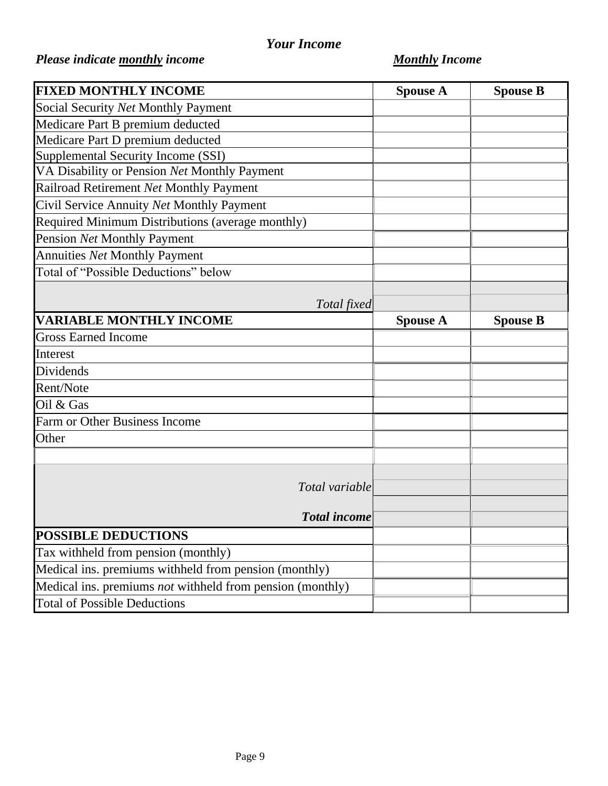## *Your Income*

# *Please indicate monthly income Monthly Income*

| <b>FIXED MONTHLY INCOME</b>                               | <b>Spouse A</b> | <b>Spouse B</b> |
|-----------------------------------------------------------|-----------------|-----------------|
| Social Security Net Monthly Payment                       |                 |                 |
| Medicare Part B premium deducted                          |                 |                 |
| Medicare Part D premium deducted                          |                 |                 |
| Supplemental Security Income (SSI)                        |                 |                 |
| VA Disability or Pension Net Monthly Payment              |                 |                 |
| Railroad Retirement Net Monthly Payment                   |                 |                 |
| Civil Service Annuity Net Monthly Payment                 |                 |                 |
| Required Minimum Distributions (average monthly)          |                 |                 |
| Pension Net Monthly Payment                               |                 |                 |
| Annuities Net Monthly Payment                             |                 |                 |
| Total of "Possible Deductions" below                      |                 |                 |
|                                                           |                 |                 |
| Total fixed                                               |                 |                 |
| <b>VARIABLE MONTHLY INCOME</b>                            | <b>Spouse A</b> | <b>Spouse B</b> |
| <b>Gross Earned Income</b>                                |                 |                 |
| Interest                                                  |                 |                 |
| Dividends                                                 |                 |                 |
| Rent/Note                                                 |                 |                 |
| Oil & Gas                                                 |                 |                 |
| Farm or Other Business Income                             |                 |                 |
| Other                                                     |                 |                 |
|                                                           |                 |                 |
|                                                           |                 |                 |
| Total variable                                            |                 |                 |
|                                                           |                 |                 |
| <b>Total income</b>                                       |                 |                 |
| <b>POSSIBLE DEDUCTIONS</b>                                |                 |                 |
| Tax withheld from pension (monthly)                       |                 |                 |
| Medical ins. premiums withheld from pension (monthly)     |                 |                 |
| Medical ins. premiums not withheld from pension (monthly) |                 |                 |
| <b>Total of Possible Deductions</b>                       |                 |                 |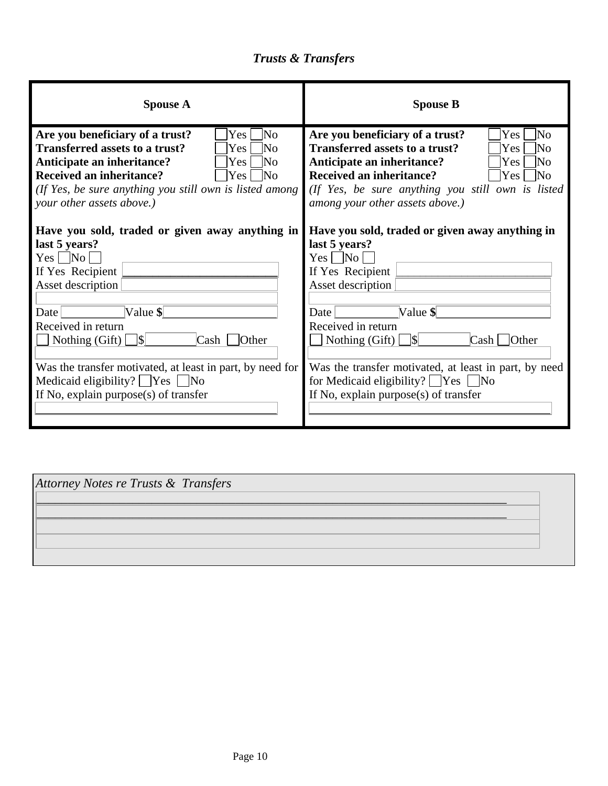# *Trusts & Transfers*

| <b>Spouse A</b>                                           | <b>Spouse B</b>                                                                                                                                                                                                                    |
|-----------------------------------------------------------|------------------------------------------------------------------------------------------------------------------------------------------------------------------------------------------------------------------------------------|
| Are you beneficiary of a trust?                           | Are you beneficiary of a trust?                                                                                                                                                                                                    |
| lNo                                                       | Yes                                                                                                                                                                                                                                |
| Yes.                                                      | lNo                                                                                                                                                                                                                                |
| Transferred assets to a trust?                            | <b>Transferred assets to a trust?</b>                                                                                                                                                                                              |
| lNo                                                       | lΝo                                                                                                                                                                                                                                |
| Yes.                                                      | <b>Yes</b>                                                                                                                                                                                                                         |
| Anticipate an inheritance?                                | Anticipate an inheritance?                                                                                                                                                                                                         |
| lNo                                                       | Yes                                                                                                                                                                                                                                |
| Yes                                                       | lΝo                                                                                                                                                                                                                                |
| <b>Received an inheritance?</b>                           | <b>Received an inheritance?</b>                                                                                                                                                                                                    |
| Yes                                                       | Yes                                                                                                                                                                                                                                |
| No                                                        | 1No                                                                                                                                                                                                                                |
| (If Yes, be sure anything you still own is listed among   | (If Yes, be sure anything you still own is listed                                                                                                                                                                                  |
| your other assets above.)                                 | among your other assets above.)                                                                                                                                                                                                    |
| Have you sold, traded or given away anything in           | Have you sold, traded or given away anything in                                                                                                                                                                                    |
| last 5 years?                                             | last 5 years?                                                                                                                                                                                                                      |
| $Yes \Box No \Box$                                        | Yes $\Box$ No $\Box$                                                                                                                                                                                                               |
| If Yes Recipient                                          | If Yes Recipient                                                                                                                                                                                                                   |
| Asset description                                         | Asset description                                                                                                                                                                                                                  |
| Value $\parallel$                                         | Value \$                                                                                                                                                                                                                           |
| Date                                                      | Date                                                                                                                                                                                                                               |
| Received in return                                        | Received in return                                                                                                                                                                                                                 |
|                                                           | $\Box$ Nothing (Gift) $\Box$ \\\equals \equal \equal \equal \equal \equal \equal \equal \equal \equal \equal \equal \equal \equal \equal \equal \equal \equal \equal \equal \equal \equal \equal \equal \equal \equal \equal \equa |
| $\operatorname{Cash}$ $\Box$ Other                        | $Cash \Box$ Other                                                                                                                                                                                                                  |
| Was the transfer motivated, at least in part, by need for | Was the transfer motivated, at least in part, by need                                                                                                                                                                              |
| Medicaid eligibility? $\Box$ Yes $\Box$ No                | for Medicaid eligibility? $\Box$ Yes $\Box$ No                                                                                                                                                                                     |
| If No, explain purpose(s) of transfer                     | If No, explain purpose $(s)$ of transfer                                                                                                                                                                                           |

| Attorney Notes re Trusts & Transfers |  |
|--------------------------------------|--|
|                                      |  |
|                                      |  |
|                                      |  |
|                                      |  |